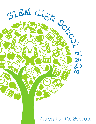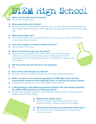# STEM High School

# **Q. Where will the high school be located?**

**A.** The Central-Hower campus

# **Q. What grade levels will it include?**

**A.** To start, we will most likely add one grade per year; so, in fall 2012, the majority will be next year's eighth-graders who pass to ninth grade. We may add students to the 2012 ninth-grade class.

# **Q. What partnerships exist?**

**A.** Akron Public Schools, The University of Akron, Invent Now, City of Akron, Greater Akron Chamber and Akron Tomorrow

# **Q. How many students are being accepted each year?**

**A.** Approximately 100, to start

#### **Q. What is the process to get into the school?**

**A.** Students currently enrolled at the STEM middle school will automatically continue on to the high school if they pass the ninth grade and commit. Additional students may be admitted to reach an enrollment of approximately 100 students.



- **Q. Will the teachers be interviewed for the positions?**
- **A.** Yes

# **Q. How will the administration be selected?**

- **A.** Through a rigorous recruitment process to ensure a high-quality administrator
- **Q. What is the plan for our students regarding the STEM high school? Are they automatically entered into the STEM high school, or will there be another lottery?**
- **A.** Enrollment is automatic for current STEM middle school students.
- **Q. Is APS planning to add additional students (outside of the ones already attending the STEM middle school) to the STEM high school?**
- **A.** We may allow a limited number of outside students. Opportunities for adding additional students are still being explored.



- **Q. Will there be athletic teams?**
- **A.** Students will have to participate at their home high school for athletics. Intramural sports will be offered.
- **Q. Will there be after-school activities/clubs? What types?**
- **A.** We will continue similar age-appropriate programming at the high school.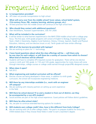# Frequently Asked Questions

# **Q. Is transportation provided?**

- **A.** APS does not provide transportation to high school.
- **Q. What will carry over from the middle school? (core values, school belief system, 21st-century focus, PBL, mastery learning, advisory groups, etc.)**
- **A.** All best practices from the middle school will continue at the high school level.

# **Q. Who should they contact with additional questions?**

**A.** Ellen McWilliams, Assistant Superintendent, 330.761.2926

# **Q. What will be included in the curriculum?**

**A.** It will be similar to what learners experienced in the NIHF-STEM middle school with a college prep focus. The first year, ninth-grade programs will consist of English 9, Biology, Engineering Design Tools I, Math 2 (Geometry, Algebra II and Statistics), History, Chinese, Spanish, Health and Physical Education, Advisory, and one elective (music or art). Tenth grade will have similar offerings.

# **Q. Will all of the learners be provided with laptops?**

- **A.** We are working on plans for 1:1 technology.
- **Q. I have heard questions about what the class offerings will be will there only be one class for each subject, or will there be a variety of courses from which to choose? What kind of electives will be offered?**
- A. Students will have to complete APS-required courses for graduation. There will be one elective course in ninth and 10th grade. In 11th and 12th grade, opportunities for more choice will come through internships, college courses or college credit earned through project/PBL-designed courses.

# **Q. When does it open?**

**A.** Fall 2012

# **Q. What engineering and medical curriculum will be offered?**

- **A.** Elective courses are being developed in these areas, in addition to ninth grade curriculum, the school will incorporate engineering medicine.
- **Q. Will there be any internships available (i.e., work with an engineer off campus)?**
- **A.** We are working with industry partners on setting up work experience in the field.
- **Q. Will there be school dances? If so and a student is from out of district, can they be accompanied by a non-APS student?**
- **A.** Social activities are part of the high school experience. Guest policies will follow district guidelines.
- **Q. Will there be after-school clubs?**
- **A.** Yes, we plan to continue extended-learning options for students.
- **Q. Will students earn college credit? Also, how is this different from Early College?**
- **A.** We are working with UA to offer college credits. The goal is to prepare students for entry into STEM-related areas if they choose these fields in order to earn a bachelor's degree.